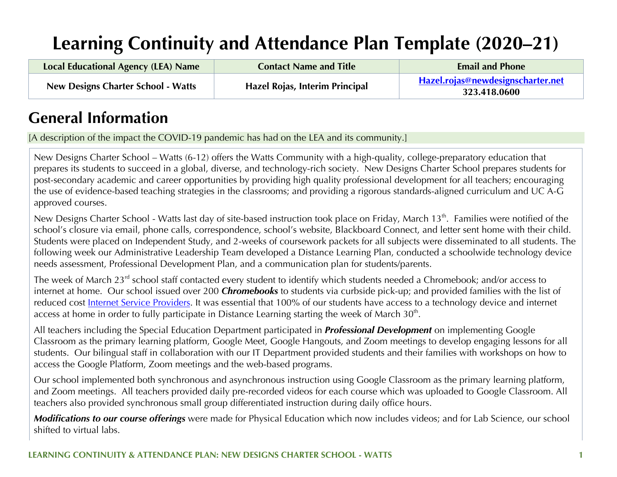# **Learning Continuity and Attendance Plan Template (2020–21)**

| Local Educational Agency (LEA) Name       | <b>Contact Name and Title</b>  | <b>Email and Phone</b>                                   |
|-------------------------------------------|--------------------------------|----------------------------------------------------------|
| <b>New Designs Charter School - Watts</b> | Hazel Rojas, Interim Principal | <u>Hazel.rojas@newdesignscharter.net</u><br>323.418.0600 |

## **General Information**

[A description of the impact the COVID-19 pandemic has had on the LEA and its community.]

New Designs Charter School – Watts (6-12) offers the Watts Community with a high-quality, college-preparatory education that prepares its students to succeed in a global, diverse, and technology-rich society. New Designs Charter School prepares students for post-secondary academic and career opportunities by providing high quality professional development for all teachers; encouraging the use of evidence-based teaching strategies in the classrooms; and providing a rigorous standards-aligned curriculum and UC A-G approved courses.

New Designs Charter School - Watts last day of site-based instruction took place on Friday, March 13<sup>th</sup>. Families were notified of the school's closure via email, phone calls, correspondence, school's website, Blackboard Connect, and letter sent home with their child. Students were placed on Independent Study, and 2-weeks of coursework packets for all subjects were disseminated to all students. The following week our Administrative Leadership Team developed a Distance Learning Plan, conducted a schoolwide technology device needs assessment, Professional Development Plan, and a communication plan for students/parents.

The week of March 23<sup>rd</sup> school staff contacted every student to identify which students needed a Chromebook; and/or access to internet at home. Our school issued over 200 *Chromebooks* to students via curbside pick-up; and provided families with the list of reduced cost Internet Service Providers. It was essential that 100% of our students have access to a technology device and internet access at home in order to fully participate in Distance Learning starting the week of March 30<sup>th</sup>.

All teachers including the Special Education Department participated in *Professional Development* on implementing Google Classroom as the primary learning platform, Google Meet, Google Hangouts, and Zoom meetings to develop engaging lessons for all students. Our bilingual staff in collaboration with our IT Department provided students and their families with workshops on how to access the Google Platform, Zoom meetings and the web-based programs.

Our school implemented both synchronous and asynchronous instruction using Google Classroom as the primary learning platform, and Zoom meetings. All teachers provided daily pre-recorded videos for each course which was uploaded to Google Classroom. All teachers also provided synchronous small group differentiated instruction during daily office hours.

*Modifications to our course offerings* were made for Physical Education which now includes videos; and for Lab Science, our school shifted to virtual labs.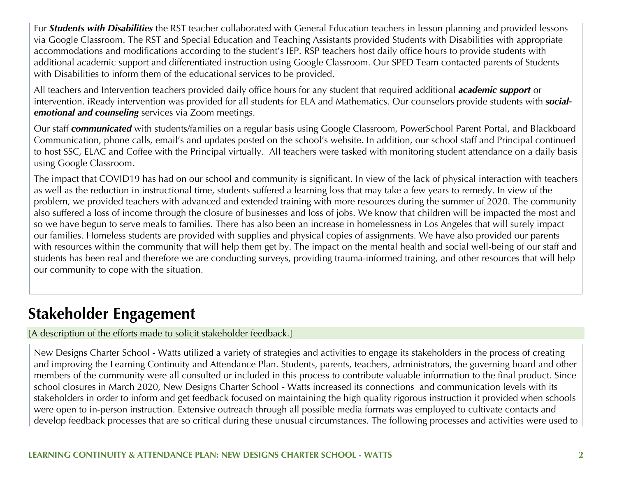For *Students with Disabilities* the RST teacher collaborated with General Education teachers in lesson planning and provided lessons via Google Classroom. The RST and Special Education and Teaching Assistants provided Students with Disabilities with appropriate accommodations and modifications according to the student's IEP. RSP teachers host daily office hours to provide students with additional academic support and differentiated instruction using Google Classroom. Our SPED Team contacted parents of Students with Disabilities to inform them of the educational services to be provided.

All teachers and Intervention teachers provided daily office hours for any student that required additional *academic support* or intervention. iReady intervention was provided for all students for ELA and Mathematics. Our counselors provide students with *socialemotional and counseling* services via Zoom meetings.

Our staff *communicated* with students/families on a regular basis using Google Classroom, PowerSchool Parent Portal, and Blackboard Communication, phone calls, email's and updates posted on the school's website. In addition, our school staff and Principal continued to host SSC, ELAC and Coffee with the Principal virtually. All teachers were tasked with monitoring student attendance on a daily basis using Google Classroom.

The impact that COVID19 has had on our school and community is significant. In view of the lack of physical interaction with teachers as well as the reduction in instructional time, students suffered a learning loss that may take a few years to remedy. In view of the problem, we provided teachers with advanced and extended training with more resources during the summer of 2020. The community also suffered a loss of income through the closure of businesses and loss of jobs. We know that children will be impacted the most and so we have begun to serve meals to families. There has also been an increase in homelessness in Los Angeles that will surely impact our families. Homeless students are provided with supplies and physical copies of assignments. We have also provided our parents with resources within the community that will help them get by. The impact on the mental health and social well-being of our staff and students has been real and therefore we are conducting surveys, providing trauma-informed training, and other resources that will help our community to cope with the situation.

## **Stakeholder Engagement**

[A description of the efforts made to solicit stakeholder feedback.]

New Designs Charter School - Watts utilized a variety of strategies and activities to engage its stakeholders in the process of creating and improving the Learning Continuity and Attendance Plan. Students, parents, teachers, administrators, the governing board and other members of the community were all consulted or included in this process to contribute valuable information to the final product. Since school closures in March 2020, New Designs Charter School - Watts increased its connections and communication levels with its stakeholders in order to inform and get feedback focused on maintaining the high quality rigorous instruction it provided when schools were open to in-person instruction. Extensive outreach through all possible media formats was employed to cultivate contacts and develop feedback processes that are so critical during these unusual circumstances. The following processes and activities were used to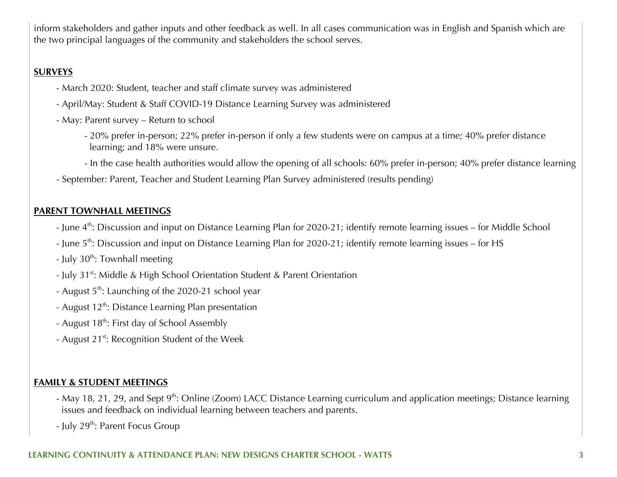inform stakeholders and gather inputs and other feedback as well. In all cases communication was in English and Spanish which are the two principal languages of the community and stakeholders the school serves.

#### **SURVEYS**

- March 2020: Student, teacher and staff climate survey was administered
- April/May: Student & Staff COVID-19 Distance Learning Survey was administered
- May: Parent survey Return to school
	- 20% prefer in-person; 22% prefer in-person if only a few students were on campus at a time; 40% prefer distance learning; and 18% were unsure.
	- In the case health authorities would allow the opening of all schools: 60% prefer in-person; 40% prefer distance learning
- September: Parent, Teacher and Student Learning Plan Survey administered (results pending)

#### **PARENT TOWNHALL MEETINGS**

- June 4<sup>th</sup>: Discussion and input on Distance Learning Plan for 2020-21; identify remote learning issues for Middle School
- June 5<sup>th</sup>: Discussion and input on Distance Learning Plan for 2020-21; identify remote learning issues for HS
- July  $30^{th}$ : Townhall meeting
- July 31<sup>st</sup>: Middle & High School Orientation Student & Parent Orientation
- August 5<sup>th</sup>: Launching of the 2020-21 school year
- August  $12^{th}$ : Distance Learning Plan presentation
- August 18<sup>th</sup>: First day of School Assembly
- August 21<sup>st</sup>: Recognition Student of the Week

#### **FAMILY & STUDENT MEETINGS**

- May 18, 21, 29, and Sept 9<sup>th</sup>: Online (Zoom) LACC Distance Learning curriculum and application meetings; Distance learning issues and feedback on individual learning between teachers and parents.
- July  $29^{th}$ : Parent Focus Group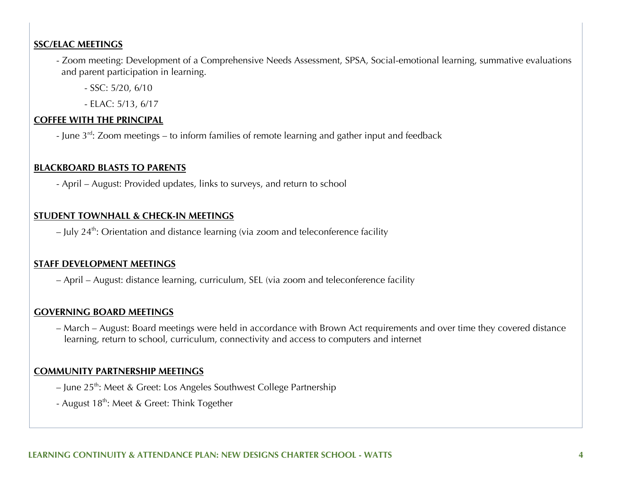#### **SSC/ELAC MEETINGS**

- Zoom meeting: Development of a Comprehensive Needs Assessment, SPSA, Social-emotional learning, summative evaluations and parent participation in learning.
	- SSC: 5/20, 6/10
	- ELAC: 5/13, 6/17

#### **COFFEE WITH THE PRINCIPAL**

- June  $3^{rd}$ : Zoom meetings – to inform families of remote learning and gather input and feedback

#### **BLACKBOARD BLASTS TO PARENTS**

- April – August: Provided updates, links to surveys, and return to school

#### **STUDENT TOWNHALL & CHECK-IN MEETINGS**

 $-$  July 24<sup>th</sup>: Orientation and distance learning (via zoom and teleconference facility

#### **STAFF DEVELOPMENT MEETINGS**

– April – August: distance learning, curriculum, SEL (via zoom and teleconference facility

#### **GOVERNING BOARD MEETINGS**

– March – August: Board meetings were held in accordance with Brown Act requirements and over time they covered distance learning, return to school, curriculum, connectivity and access to computers and internet

#### **COMMUNITY PARTNERSHIP MEETINGS**

- June 25<sup>th</sup>: Meet & Greet: Los Angeles Southwest College Partnership
- August 18<sup>th</sup>: Meet & Greet: Think Together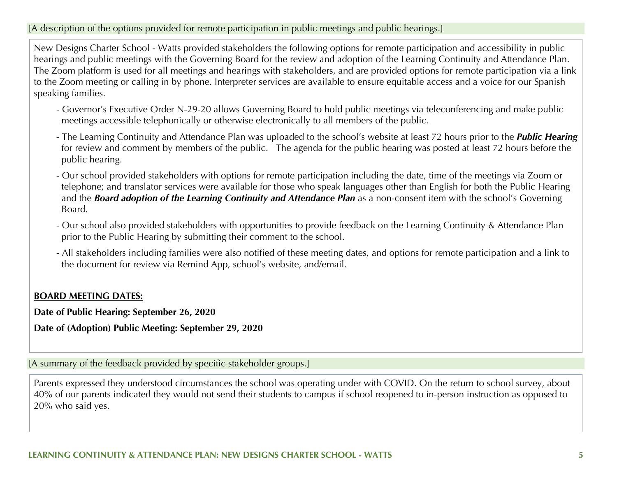#### [A description of the options provided for remote participation in public meetings and public hearings.]

New Designs Charter School - Watts provided stakeholders the following options for remote participation and accessibility in public hearings and public meetings with the Governing Board for the review and adoption of the Learning Continuity and Attendance Plan. The Zoom platform is used for all meetings and hearings with stakeholders, and are provided options for remote participation via a link to the Zoom meeting or calling in by phone. Interpreter services are available to ensure equitable access and a voice for our Spanish speaking families.

- Governor's Executive Order N-29-20 allows Governing Board to hold public meetings via teleconferencing and make public meetings accessible telephonically or otherwise electronically to all members of the public.
- The Learning Continuity and Attendance Plan was uploaded to the school's website at least 72 hours prior to the *Public Hearing* for review and comment by members of the public. The agenda for the public hearing was posted at least 72 hours before the public hearing.
- Our school provided stakeholders with options for remote participation including the date, time of the meetings via Zoom or telephone; and translator services were available for those who speak languages other than English for both the Public Hearing and the *Board adoption of the Learning Continuity and Attendance Plan* as a non-consent item with the school's Governing Board.
- Our school also provided stakeholders with opportunities to provide feedback on the Learning Continuity & Attendance Plan prior to the Public Hearing by submitting their comment to the school.
- All stakeholders including families were also notified of these meeting dates, and options for remote participation and a link to the document for review via Remind App, school's website, and/email.

#### **BOARD MEETING DATES:**

**Date of Public Hearing: September 26, 2020**

**Date of (Adoption) Public Meeting: September 29, 2020**

[A summary of the feedback provided by specific stakeholder groups.]

Parents expressed they understood circumstances the school was operating under with COVID. On the return to school survey, about 40% of our parents indicated they would not send their students to campus if school reopened to in-person instruction as opposed to 20% who said yes.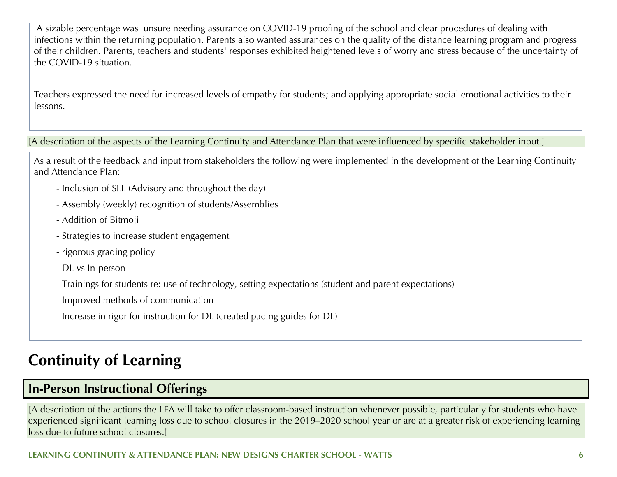A sizable percentage was unsure needing assurance on COVID-19 proofing of the school and clear procedures of dealing with infections within the returning population. Parents also wanted assurances on the quality of the distance learning program and progress of their children. Parents, teachers and students' responses exhibited heightened levels of worry and stress because of the uncertainty of the COVID-19 situation.

Teachers expressed the need for increased levels of empathy for students; and applying appropriate social emotional activities to their lessons.

[A description of the aspects of the Learning Continuity and Attendance Plan that were influenced by specific stakeholder input.]

As a result of the feedback and input from stakeholders the following were implemented in the development of the Learning Continuity and Attendance Plan:

- Inclusion of SEL (Advisory and throughout the day)
- Assembly (weekly) recognition of students/Assemblies
- Addition of Bitmoji
- Strategies to increase student engagement
- rigorous grading policy
- DL vs In-person
- Trainings for students re: use of technology, setting expectations (student and parent expectations)
- Improved methods of communication
- Increase in rigor for instruction for DL (created pacing guides for DL)

## **Continuity of Learning**

## **In-Person Instructional Offerings**

[A description of the actions the LEA will take to offer classroom-based instruction whenever possible, particularly for students who have experienced significant learning loss due to school closures in the 2019–2020 school year or are at a greater risk of experiencing learning loss due to future school closures.]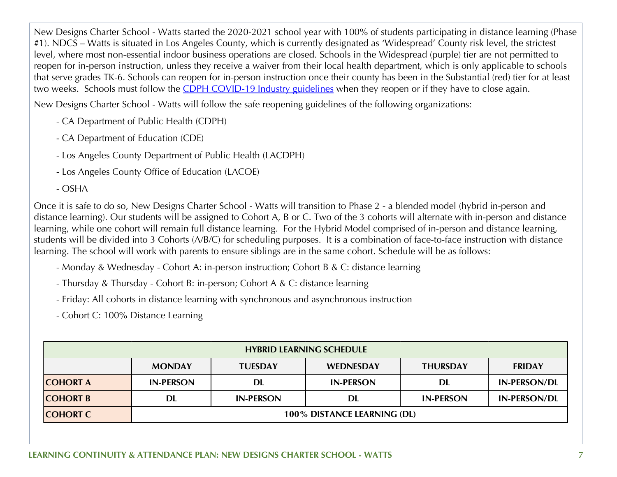New Designs Charter School - Watts started the 2020-2021 school year with 100% of students participating in distance learning (Phase #1). NDCS – Watts is situated in Los Angeles County, which is currently designated as 'Widespread' County risk level, the strictest level, where most non-essential indoor business operations are closed. Schools in the Widespread (purple) tier are not permitted to reopen for in-person instruction, unless they receive a waiver from their local health department, which is only applicable to schools that serve grades TK-6. Schools can reopen for in-person instruction once their county has been in the Substantial (red) tier for at least two weeks. Schools must follow the CDPH COVID-19 Industry guidelines when they reopen or if they have to close again.

New Designs Charter School - Watts will follow the safe reopening guidelines of the following organizations:

- CA Department of Public Health (CDPH)
- CA Department of Education (CDE)
- Los Angeles County Department of Public Health (LACDPH)
- Los Angeles County Office of Education (LACOE)
- OSHA

Once it is safe to do so, New Designs Charter School - Watts will transition to Phase 2 - a blended model (hybrid in-person and distance learning). Our students will be assigned to Cohort A, B or C. Two of the 3 cohorts will alternate with in-person and distance learning, while one cohort will remain full distance learning. For the Hybrid Model comprised of in-person and distance learning, students will be divided into 3 Cohorts (A/B/C) for scheduling purposes. It is a combination of face-to-face instruction with distance learning. The school will work with parents to ensure siblings are in the same cohort. Schedule will be as follows:

- Monday & Wednesday Cohort A: in-person instruction; Cohort B & C: distance learning
- Thursday & Thursday Cohort B: in-person; Cohort A & C: distance learning
- Friday: All cohorts in distance learning with synchronous and asynchronous instruction

- Cohort C: 100% Distance Learning

| <b>HYBRID LEARNING SCHEDULE</b> |                             |                  |                  |                  |                     |
|---------------------------------|-----------------------------|------------------|------------------|------------------|---------------------|
|                                 | <b>MONDAY</b>               | <b>TUESDAY</b>   | <b>WEDNESDAY</b> | <b>THURSDAY</b>  | <b>FRIDAY</b>       |
| <b>COHORT A</b>                 | <b>IN-PERSON</b>            | DL               | <b>IN-PERSON</b> | DL               | <b>IN-PERSON/DL</b> |
| <b>COHORT B</b>                 | <b>DL</b>                   | <b>IN-PERSON</b> | DL               | <b>IN-PERSON</b> | <b>IN-PERSON/DL</b> |
| <b>COHORT C</b>                 | 100% DISTANCE LEARNING (DL) |                  |                  |                  |                     |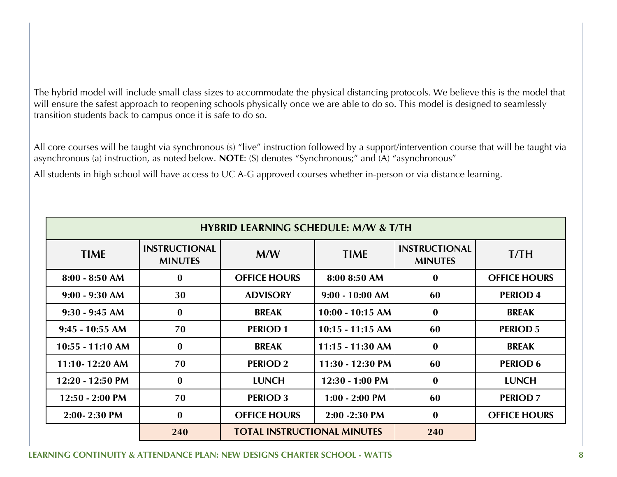The hybrid model will include small class sizes to accommodate the physical distancing protocols. We believe this is the model that will ensure the safest approach to reopening schools physically once we are able to do so. This model is designed to seamlessly transition students back to campus once it is safe to do so.

All core courses will be taught via synchronous (s) "live" instruction followed by a support/intervention course that will be taught via asynchronous (a) instruction, as noted below. **NOTE**: (S) denotes "Synchronous;" and (A) "asynchronous"

All students in high school will have access to UC A-G approved courses whether in-person or via distance learning.

|                   | <b>HYBRID LEARNING SCHEDULE: M/W &amp; T/TH</b> |                                    |                    |                                        |                     |
|-------------------|-------------------------------------------------|------------------------------------|--------------------|----------------------------------------|---------------------|
| <b>TIME</b>       | <b>INSTRUCTIONAL</b><br><b>MINUTES</b>          | M/W                                | <b>TIME</b>        | <b>INSTRUCTIONAL</b><br><b>MINUTES</b> | T/TH                |
| $8:00 - 8:50$ AM  | $\bf{0}$                                        | <b>OFFICE HOURS</b>                | 8:00 8:50 AM       | $\bf{0}$                               | <b>OFFICE HOURS</b> |
| $9:00 - 9:30$ AM  | 30                                              | <b>ADVISORY</b>                    | $9:00 - 10:00$ AM  | 60                                     | <b>PERIOD 4</b>     |
| $9:30 - 9:45$ AM  | $\bf{0}$                                        | <b>BREAK</b>                       | $10:00 - 10:15$ AM | $\bf{0}$                               | <b>BREAK</b>        |
| $9:45 - 10:55$ AM | 70                                              | <b>PERIOD1</b>                     | $10:15 - 11:15$ AM | 60                                     | <b>PERIOD 5</b>     |
| 10:55 - 11:10 AM  | $\bf{0}$                                        | <b>BREAK</b>                       | $11:15 - 11:30$ AM | $\bf{0}$                               | <b>BREAK</b>        |
| 11:10-12:20 AM    | 70                                              | <b>PERIOD 2</b>                    | 11:30 - 12:30 PM   | 60                                     | <b>PERIOD 6</b>     |
| 12:20 - 12:50 PM  | $\mathbf{0}$                                    | <b>LUNCH</b>                       | $12:30 - 1:00$ PM  | $\bf{0}$                               | <b>LUNCH</b>        |
| $12:50 - 2:00$ PM | 70                                              | <b>PERIOD 3</b>                    | $1:00 - 2:00$ PM   | 60                                     | <b>PERIOD 7</b>     |
| 2:00-2:30 PM      | $\bf{0}$                                        | <b>OFFICE HOURS</b>                | 2:00 - 2:30 PM     | $\bf{0}$                               | <b>OFFICE HOURS</b> |
|                   | 240                                             | <b>TOTAL INSTRUCTIONAL MINUTES</b> |                    | 240                                    |                     |

#### **LEARNING CONTINUITY & ATTENDANCE PLAN: NEW DESIGNS CHARTER SCHOOL - WATTS 8**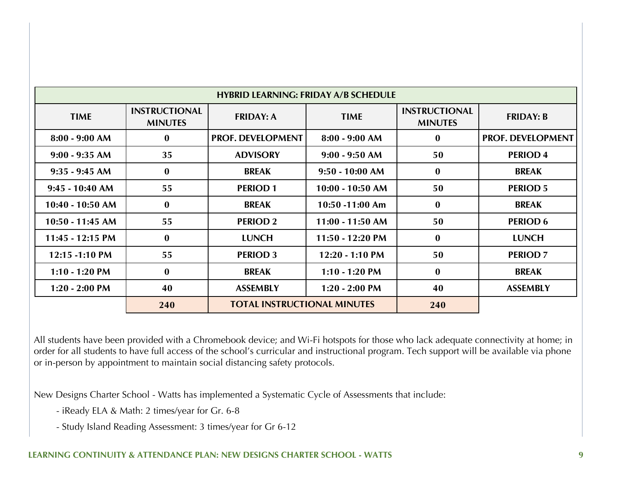|                           |                                        | <b>HYBRID LEARNING: FRIDAY A/B SCHEDULE</b> |                    |                                        |                          |
|---------------------------|----------------------------------------|---------------------------------------------|--------------------|----------------------------------------|--------------------------|
| <b>TIME</b>               | <b>INSTRUCTIONAL</b><br><b>MINUTES</b> | <b>FRIDAY: A</b>                            | <b>TIME</b>        | <b>INSTRUCTIONAL</b><br><b>MINUTES</b> | <b>FRIDAY: B</b>         |
| $8:00 - 9:00$ AM          | $\bf{0}$                               | <b>PROF. DEVELOPMENT</b>                    | $8:00 - 9:00 AM$   | $\bf{0}$                               | <b>PROF. DEVELOPMENT</b> |
| $9:00 - 9:35$ AM          | 35                                     | <b>ADVISORY</b>                             | $9:00 - 9:50$ AM   | 50                                     | <b>PERIOD 4</b>          |
| $9:35 - 9:45$ AM          | $\bf{0}$                               | <b>BREAK</b>                                | $9:50 - 10:00$ AM  | $\bf{0}$                               | <b>BREAK</b>             |
| $9:45 - 10:40$ AM         | 55                                     | <b>PERIOD 1</b>                             | $10:00 - 10:50$ AM | 50                                     | <b>PERIOD 5</b>          |
| 10:40 - 10:50 AM          | $\bf{0}$                               | <b>BREAK</b>                                | $10:50 - 11:00$ Am | $\bf{0}$                               | <b>BREAK</b>             |
| 10:50 - 11:45 AM          | 55                                     | <b>PERIOD 2</b>                             | $11:00 - 11:50$ AM | 50                                     | <b>PERIOD 6</b>          |
| $11:45 - 12:15$ PM        | $\bf{0}$                               | <b>LUNCH</b>                                | $11:50 - 12:20$ PM | $\bf{0}$                               | <b>LUNCH</b>             |
| $12:15 - 1:10 \text{ PM}$ | 55                                     | <b>PERIOD 3</b>                             | $12:20 - 1:10 PM$  | 50                                     | <b>PERIOD 7</b>          |
| $1:10 - 1:20$ PM          | $\bf{0}$                               | <b>BREAK</b>                                | $1:10 - 1:20$ PM   | $\bf{0}$                               | <b>BREAK</b>             |
| $1:20 - 2:00$ PM          | 40                                     | <b>ASSEMBLY</b>                             | $1:20 - 2:00$ PM   | 40                                     | <b>ASSEMBLY</b>          |
|                           | 240                                    | <b>TOTAL INSTRUCTIONAL MINUTES</b>          |                    | 240                                    |                          |

All students have been provided with a Chromebook device; and Wi-Fi hotspots for those who lack adequate connectivity at home; in order for all students to have full access of the school's curricular and instructional program. Tech support will be available via phone or in-person by appointment to maintain social distancing safety protocols.

New Designs Charter School - Watts has implemented a Systematic Cycle of Assessments that include:

- iReady ELA & Math: 2 times/year for Gr. 6-8
- Study Island Reading Assessment: 3 times/year for Gr 6-12

#### **LEARNING CONTINUITY & ATTENDANCE PLAN: NEW DESIGNS CHARTER SCHOOL - WATTS 9**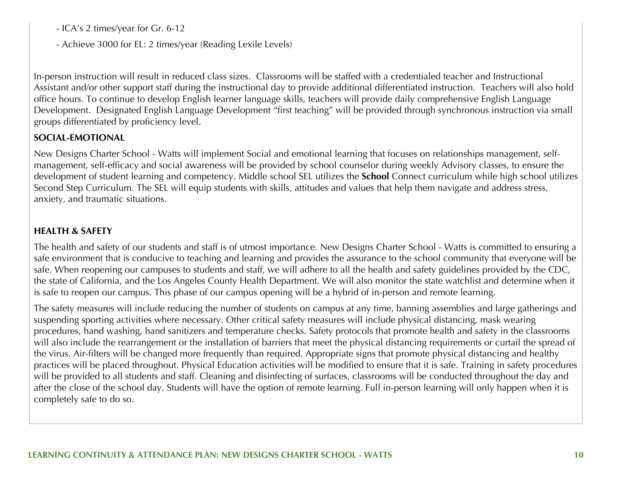- ICA's 2 times/year for Gr. 6-12

- Achieve 3000 for EL: 2 times/year (Reading Lexile Levels)

In-person instruction will result in reduced class sizes. Classrooms will be staffed with a credentialed teacher and Instructional Assistant and/or other support staff during the instructional day to provide additional differentiated instruction. Teachers will also hold office hours. To continue to develop English learner language skills, teachers will provide daily comprehensive English Language Development. Designated English Language Development "first teaching" will be provided through synchronous instruction via small groups differentiated by proficiency level.

#### **SOCIAL-EMOTIONAL**

New Designs Charter School - Watts will implement Social and emotional learning that focuses on relationships management, selfmanagement, self-efficacy and social awareness will be provided by school counselor during weekly Advisory classes, to ensure the development of student learning and competency. Middle school SEL utilizes the **School** Connect curriculum while high school utilizes Second Step Curriculum. The SEL will equip students with skills, attitudes and values that help them navigate and address stress, anxiety, and traumatic situations.

#### **HEALTH & SAFETY**

The health and safety of our students and staff is of utmost importance. New Designs Charter School - Watts is committed to ensuring a safe environment that is conducive to teaching and learning and provides the assurance to the school community that everyone will be safe. When reopening our campuses to students and staff, we will adhere to all the health and safety guidelines provided by the CDC, the state of California, and the Los Angeles County Health Department. We will also monitor the state watchlist and determine when it is safe to reopen our campus. This phase of our campus opening will be a hybrid of in-person and remote learning.

The safety measures will include reducing the number of students on campus at any time, banning assemblies and large gatherings and suspending sporting activities where necessary. Other critical safety measures will include physical distancing, mask wearing procedures, hand washing, hand sanitizers and temperature checks. Safety protocols that promote health and safety in the classrooms will also include the rearrangement or the installation of barriers that meet the physical distancing requirements or curtail the spread of the virus. Air-filters will be changed more frequently than required. Appropriate signs that promote physical distancing and healthy practices will be placed throughout. Physical Education activities will be modified to ensure that it is safe. Training in safety procedures will be provided to all students and staff. Cleaning and disinfecting of surfaces, classrooms will be conducted throughout the day and after the close of the school day. Students will have the option of remote learning. Full in-person learning will only happen when it is completely safe to do so.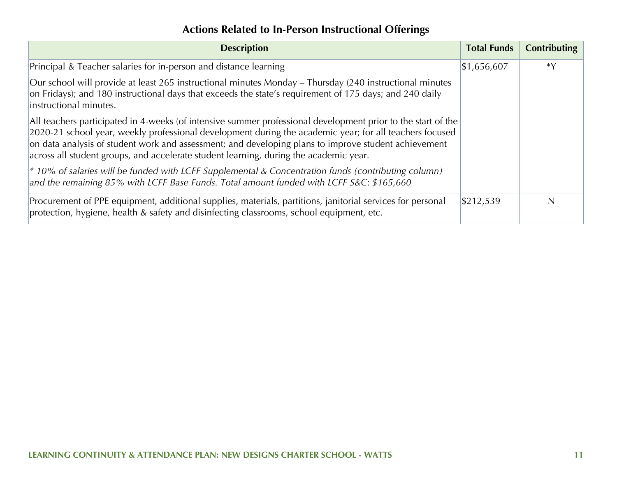## **Actions Related to In-Person Instructional Offerings**

| <b>Description</b>                                                                                                                                                                                                                                                                                                                                                                                                       | <b>Total Funds</b> | <b>Contributing</b> |
|--------------------------------------------------------------------------------------------------------------------------------------------------------------------------------------------------------------------------------------------------------------------------------------------------------------------------------------------------------------------------------------------------------------------------|--------------------|---------------------|
| Principal & Teacher salaries for in-person and distance learning                                                                                                                                                                                                                                                                                                                                                         | \$1,656,607        | *Y                  |
| Our school will provide at least 265 instructional minutes Monday – Thursday (240 instructional minutes<br>on Fridays); and 180 instructional days that exceeds the state's requirement of 175 days; and 240 daily<br>instructional minutes.                                                                                                                                                                             |                    |                     |
| All teachers participated in 4-weeks (of intensive summer professional development prior to the start of the<br>2020-21 school year, weekly professional development during the academic year; for all teachers focused<br>on data analysis of student work and assessment; and developing plans to improve student achievement<br>across all student groups, and accelerate student learning, during the academic year. |                    |                     |
| $\vert$ * 10% of salaries will be funded with LCFF Supplemental & Concentration funds (contributing column)<br>and the remaining 85% with LCFF Base Funds. Total amount funded with LCFF S&C: \$165,660                                                                                                                                                                                                                  |                    |                     |
| Procurement of PPE equipment, additional supplies, materials, partitions, janitorial services for personal<br>protection, hygiene, health & safety and disinfecting classrooms, school equipment, etc.                                                                                                                                                                                                                   | \$212,539          | N                   |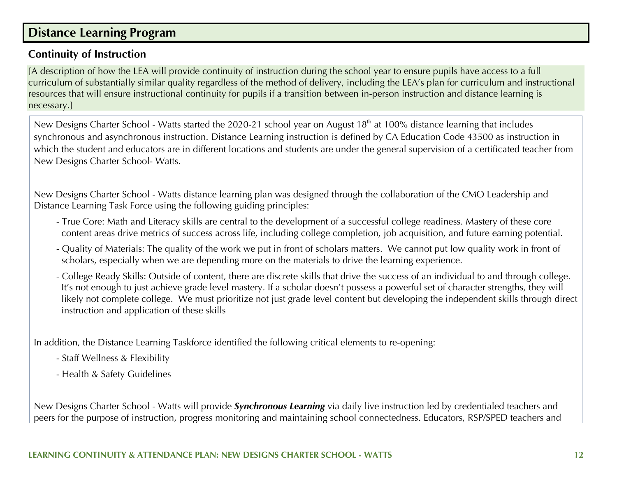## **Distance Learning Program**

### **Continuity of Instruction**

[A description of how the LEA will provide continuity of instruction during the school year to ensure pupils have access to a full curriculum of substantially similar quality regardless of the method of delivery, including the LEA's plan for curriculum and instructional resources that will ensure instructional continuity for pupils if a transition between in-person instruction and distance learning is necessary.]

New Designs Charter School - Watts started the 2020-21 school year on August 18<sup>th</sup> at 100% distance learning that includes synchronous and asynchronous instruction. Distance Learning instruction is defined by CA Education Code 43500 as instruction in which the student and educators are in different locations and students are under the general supervision of a certificated teacher from New Designs Charter School- Watts.

New Designs Charter School - Watts distance learning plan was designed through the collaboration of the CMO Leadership and Distance Learning Task Force using the following guiding principles:

- True Core: Math and Literacy skills are central to the development of a successful college readiness. Mastery of these core content areas drive metrics of success across life, including college completion, job acquisition, and future earning potential.
- Quality of Materials: The quality of the work we put in front of scholars matters. We cannot put low quality work in front of scholars, especially when we are depending more on the materials to drive the learning experience.
- College Ready Skills: Outside of content, there are discrete skills that drive the success of an individual to and through college. It's not enough to just achieve grade level mastery. If a scholar doesn't possess a powerful set of character strengths, they will likely not complete college. We must prioritize not just grade level content but developing the independent skills through direct instruction and application of these skills

In addition, the Distance Learning Taskforce identified the following critical elements to re-opening:

- Staff Wellness & Flexibility
- Health & Safety Guidelines

New Designs Charter School - Watts will provide *Synchronous Learning* via daily live instruction led by credentialed teachers and peers for the purpose of instruction, progress monitoring and maintaining school connectedness. Educators, RSP/SPED teachers and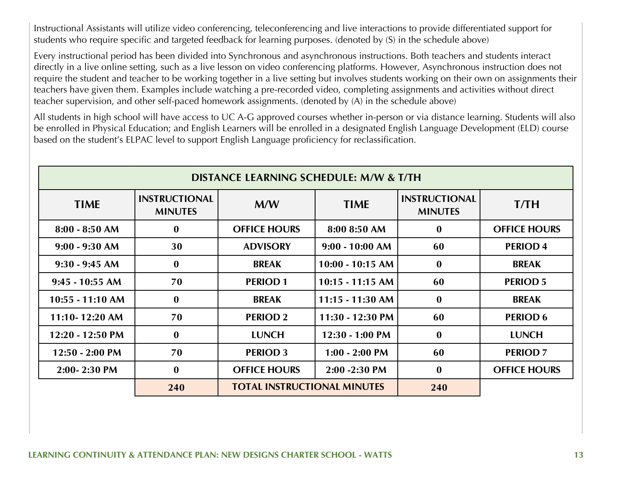Instructional Assistants will utilize video conferencing, teleconferencing and live interactions to provide differentiated support for students who require specific and targeted feedback for learning purposes. (denoted by (S) in the schedule above)

Every instructional period has been divided into Synchronous and asynchronous instructions. Both teachers and students interact directly in a live online setting, such as a live lesson on video conferencing platforms. However, Asynchronous instruction does not require the student and teacher to be working together in a live setting but involves students working on their own on assignments their teachers have given them. Examples include watching a pre-recorded video, completing assignments and activities without direct teacher supervision, and other self-paced homework assignments. (denoted by (A) in the schedule above)

All students in high school will have access to UC A-G approved courses whether in-person or via distance learning. Students will also be enrolled in Physical Education; and English Learners will be enrolled in a designated English Language Development (ELD) course based on the student's ELPAC level to support English Language proficiency for reclassification.

| <b>DISTANCE LEARNING SCHEDULE: M/W &amp; T/TH</b> |                                        |                                    |                    |                                        |                     |
|---------------------------------------------------|----------------------------------------|------------------------------------|--------------------|----------------------------------------|---------------------|
| <b>TIME</b>                                       | <b>INSTRUCTIONAL</b><br><b>MINUTES</b> | M/W                                | <b>TIME</b>        | <b>INSTRUCTIONAL</b><br><b>MINUTES</b> | <b>T/TH</b>         |
| $8:00 - 8:50$ AM                                  | $\bf{0}$                               | <b>OFFICE HOURS</b>                | 8:00 8:50 AM       | $\bf{0}$                               | <b>OFFICE HOURS</b> |
| $9:00 - 9:30$ AM                                  | 30                                     | <b>ADVISORY</b>                    | $9:00 - 10:00 AM$  | 60                                     | <b>PERIOD 4</b>     |
| $9:30 - 9:45$ AM                                  | $\bf{0}$                               | <b>BREAK</b>                       | $10:00 - 10:15$ AM | $\bf{0}$                               | <b>BREAK</b>        |
| $9:45 - 10:55$ AM                                 | 70                                     | <b>PERIOD1</b>                     | $10:15 - 11:15$ AM | 60                                     | <b>PERIOD 5</b>     |
| 10:55 - 11:10 AM                                  | $\bf{0}$                               | <b>BREAK</b>                       | $11:15 - 11:30$ AM | $\bf{0}$                               | <b>BREAK</b>        |
| $11:10 - 12:20$ AM                                | 70                                     | <b>PERIOD 2</b>                    | 11:30 - 12:30 PM   | 60                                     | <b>PERIOD 6</b>     |
| 12:20 - 12:50 PM                                  | $\mathbf{0}$                           | <b>LUNCH</b>                       | $12:30 - 1:00$ PM  | $\bf{0}$                               | <b>LUNCH</b>        |
| $12:50 - 2:00$ PM                                 | 70                                     | <b>PERIOD 3</b>                    | $1:00 - 2:00$ PM   | 60                                     | <b>PERIOD 7</b>     |
| $2:00 - 2:30$ PM                                  | $\bf{0}$                               | <b>OFFICE HOURS</b>                | $2:00 - 2:30$ PM   | $\bf{0}$                               | <b>OFFICE HOURS</b> |
|                                                   | 240                                    | <b>TOTAL INSTRUCTIONAL MINUTES</b> |                    | 240                                    |                     |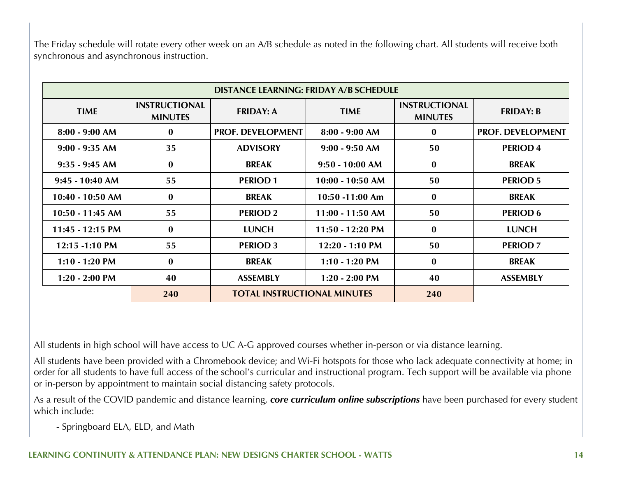The Friday schedule will rotate every other week on an A/B schedule as noted in the following chart. All students will receive both synchronous and asynchronous instruction.

|                    | <b>DISTANCE LEARNING: FRIDAY A/B SCHEDULE</b> |                                    |                    |                                        |                          |
|--------------------|-----------------------------------------------|------------------------------------|--------------------|----------------------------------------|--------------------------|
| <b>TIME</b>        | <b>INSTRUCTIONAL</b><br><b>MINUTES</b>        | <b>FRIDAY: A</b>                   | <b>TIME</b>        | <b>INSTRUCTIONAL</b><br><b>MINUTES</b> | <b>FRIDAY: B</b>         |
| $8:00 - 9:00$ AM   | $\bf{0}$                                      | <b>PROF. DEVELOPMENT</b>           | $8:00 - 9:00 AM$   | $\mathbf{0}$                           | <b>PROF. DEVELOPMENT</b> |
| $9:00 - 9:35$ AM   | 35                                            | <b>ADVISORY</b>                    | $9:00 - 9:50$ AM   | 50                                     | <b>PERIOD4</b>           |
| $9:35 - 9:45$ AM   | $\bf{0}$                                      | <b>BREAK</b>                       | $9:50 - 10:00$ AM  | $\bf{0}$                               | <b>BREAK</b>             |
| $9:45 - 10:40$ AM  | 55                                            | <b>PERIOD1</b>                     | $10:00 - 10:50$ AM | 50                                     | <b>PERIOD 5</b>          |
| $10:40 - 10:50$ AM | $\bf{0}$                                      | <b>BREAK</b>                       | $10:50 - 11:00$ Am | $\bf{0}$                               | <b>BREAK</b>             |
| $10:50 - 11:45$ AM | 55                                            | <b>PERIOD 2</b>                    | $11:00 - 11:50$ AM | 50                                     | <b>PERIOD 6</b>          |
| 11:45 - 12:15 PM   | $\bf{0}$                                      | <b>LUNCH</b>                       | 11:50 - 12:20 PM   | $\bf{0}$                               | <b>LUNCH</b>             |
| 12:15 -1:10 PM     | 55                                            | <b>PERIOD 3</b>                    | $12:20 - 1:10 PM$  | 50                                     | <b>PERIOD 7</b>          |
| $1:10 - 1:20$ PM   | $\bf{0}$                                      | <b>BREAK</b>                       | $1:10 - 1:20$ PM   | $\bf{0}$                               | <b>BREAK</b>             |
| $1:20 - 2:00$ PM   | 40                                            | <b>ASSEMBLY</b>                    | $1:20 - 2:00$ PM   | 40                                     | <b>ASSEMBLY</b>          |
|                    | 240                                           | <b>TOTAL INSTRUCTIONAL MINUTES</b> |                    | 240                                    |                          |

All students in high school will have access to UC A-G approved courses whether in-person or via distance learning.

All students have been provided with a Chromebook device; and Wi-Fi hotspots for those who lack adequate connectivity at home; in order for all students to have full access of the school's curricular and instructional program. Tech support will be available via phone or in-person by appointment to maintain social distancing safety protocols.

As a result of the COVID pandemic and distance learning, *core curriculum online subscriptions* have been purchased for every student which include:

- Springboard ELA, ELD, and Math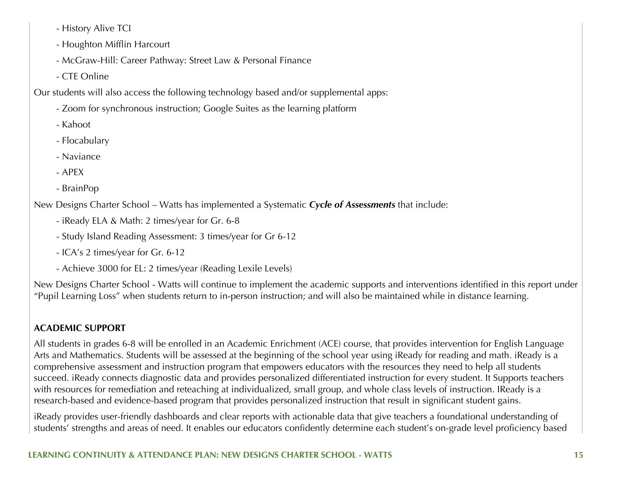- History Alive TCI

- Houghton Mifflin Harcourt
- McGraw-Hill: Career Pathway: Street Law & Personal Finance
- CTE Online

Our students will also access the following technology based and/or supplemental apps:

- Zoom for synchronous instruction; Google Suites as the learning platform
- Kahoot
- Flocabulary
- Naviance
- APEX
- BrainPop

New Designs Charter School – Watts has implemented a Systematic *Cycle of Assessments* that include:

- iReady ELA & Math: 2 times/year for Gr. 6-8
- Study Island Reading Assessment: 3 times/year for Gr 6-12
- ICA's 2 times/year for Gr. 6-12
- Achieve 3000 for EL: 2 times/year (Reading Lexile Levels)

New Designs Charter School - Watts will continue to implement the academic supports and interventions identified in this report under "Pupil Learning Loss" when students return to in-person instruction; and will also be maintained while in distance learning.

## **ACADEMIC SUPPORT**

All students in grades 6-8 will be enrolled in an Academic Enrichment (ACE) course, that provides intervention for English Language Arts and Mathematics. Students will be assessed at the beginning of the school year using iReady for reading and math. iReady is a comprehensive assessment and instruction program that empowers educators with the resources they need to help all students succeed. iReady connects diagnostic data and provides personalized differentiated instruction for every student. It Supports teachers with resources for remediation and reteaching at individualized, small group, and whole class levels of instruction. IReady is a research-based and evidence-based program that provides personalized instruction that result in significant student gains.

iReady provides user-friendly dashboards and clear reports with actionable data that give teachers a foundational understanding of students' strengths and areas of need. It enables our educators confidently determine each student's on-grade level proficiency based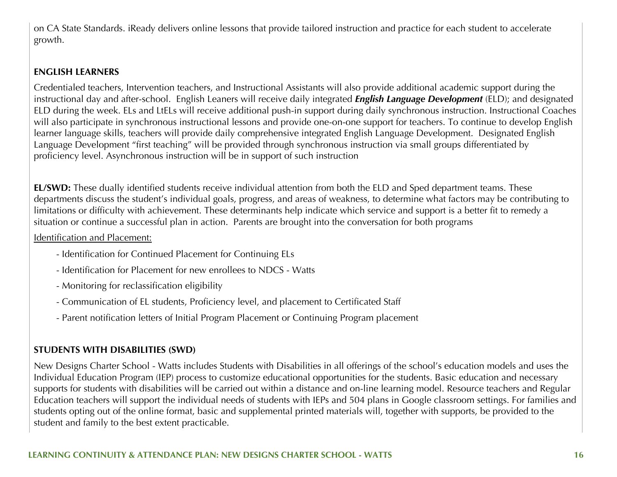on CA State Standards. iReady delivers online lessons that provide tailored instruction and practice for each student to accelerate growth.

#### **ENGLISH LEARNERS**

Credentialed teachers, Intervention teachers, and Instructional Assistants will also provide additional academic support during the instructional day and after-school. English Leaners will receive daily integrated *English Language Development* (ELD); and designated ELD during the week. ELs and LtELs will receive additional push-in support during daily synchronous instruction. Instructional Coaches will also participate in synchronous instructional lessons and provide one-on-one support for teachers. To continue to develop English learner language skills, teachers will provide daily comprehensive integrated English Language Development. Designated English Language Development "first teaching" will be provided through synchronous instruction via small groups differentiated by proficiency level. Asynchronous instruction will be in support of such instruction

**EL/SWD:** These dually identified students receive individual attention from both the ELD and Sped department teams. These departments discuss the student's individual goals, progress, and areas of weakness, to determine what factors may be contributing to limitations or difficulty with achievement. These determinants help indicate which service and support is a better fit to remedy a situation or continue a successful plan in action. Parents are brought into the conversation for both programs

#### Identification and Placement:

- Identification for Continued Placement for Continuing ELs
- Identification for Placement for new enrollees to NDCS Watts
- Monitoring for reclassification eligibility
- Communication of EL students, Proficiency level, and placement to Certificated Staff
- Parent notification letters of Initial Program Placement or Continuing Program placement

### **STUDENTS WITH DISABILITIES (SWD)**

New Designs Charter School - Watts includes Students with Disabilities in all offerings of the school's education models and uses the Individual Education Program (IEP) process to customize educational opportunities for the students. Basic education and necessary supports for students with disabilities will be carried out within a distance and on-line learning model. Resource teachers and Regular Education teachers will support the individual needs of students with IEPs and 504 plans in Google classroom settings. For families and students opting out of the online format, basic and supplemental printed materials will, together with supports, be provided to the student and family to the best extent practicable.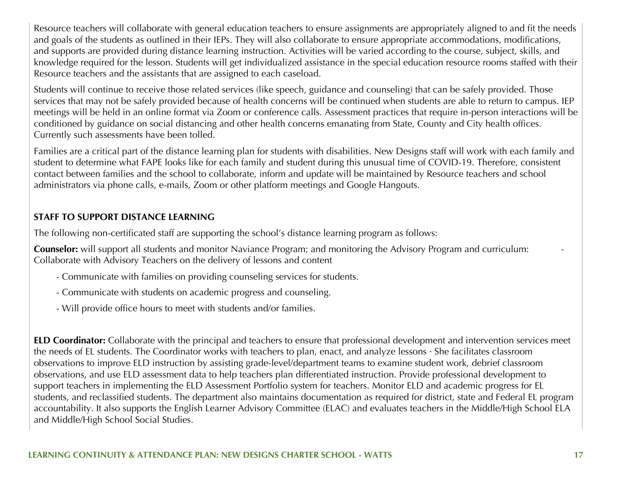Resource teachers will collaborate with general education teachers to ensure assignments are appropriately aligned to and fit the needs and goals of the students as outlined in their IEPs. They will also collaborate to ensure appropriate accommodations, modifications, and supports are provided during distance learning instruction. Activities will be varied according to the course, subject, skills, and knowledge required for the lesson. Students will get individualized assistance in the special education resource rooms staffed with their Resource teachers and the assistants that are assigned to each caseload.

Students will continue to receive those related services (like speech, guidance and counseling) that can be safely provided. Those services that may not be safely provided because of health concerns will be continued when students are able to return to campus. IEP meetings will be held in an online format via Zoom or conference calls. Assessment practices that require in-person interactions will be conditioned by guidance on social distancing and other health concerns emanating from State, County and City health offices. Currently such assessments have been tolled.

Families are a critical part of the distance learning plan for students with disabilities. New Designs staff will work with each family and student to determine what FAPE looks like for each family and student during this unusual time of COVID-19. Therefore, consistent contact between families and the school to collaborate, inform and update will be maintained by Resource teachers and school administrators via phone calls, e-mails, Zoom or other platform meetings and Google Hangouts.

#### **STAFF TO SUPPORT DISTANCE LEARNING**

The following non-certificated staff are supporting the school's distance learning program as follows:

**Counselor:** will support all students and monitor Naviance Program; and monitoring the Advisory Program and curriculum: - Collaborate with Advisory Teachers on the delivery of lessons and content

- Communicate with families on providing counseling services for students.
- Communicate with students on academic progress and counseling.
- Will provide office hours to meet with students and/or families.

**ELD Coordinator:** Collaborate with the principal and teachers to ensure that professional development and intervention services meet the needs of EL students. The Coordinator works with teachers to plan, enact, and analyze lessons · She facilitates classroom observations to improve ELD instruction by assisting grade-level/department teams to examine student work, debrief classroom observations, and use ELD assessment data to help teachers plan differentiated instruction. Provide professional development to support teachers in implementing the ELD Assessment Portfolio system for teachers. Monitor ELD and academic progress for EL students, and reclassified students. The department also maintains documentation as required for district, state and Federal EL program accountability. It also supports the English Learner Advisory Committee (ELAC) and evaluates teachers in the Middle/High School ELA and Middle/High School Social Studies.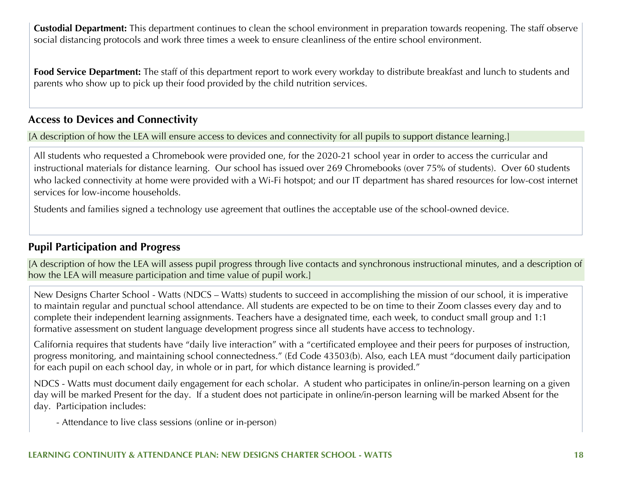**Custodial Department:** This department continues to clean the school environment in preparation towards reopening. The staff observe social distancing protocols and work three times a week to ensure cleanliness of the entire school environment.

**Food Service Department:** The staff of this department report to work every workday to distribute breakfast and lunch to students and parents who show up to pick up their food provided by the child nutrition services.

### **Access to Devices and Connectivity**

[A description of how the LEA will ensure access to devices and connectivity for all pupils to support distance learning.]

All students who requested a Chromebook were provided one, for the 2020-21 school year in order to access the curricular and instructional materials for distance learning. Our school has issued over 269 Chromebooks (over 75% of students). Over 60 students who lacked connectivity at home were provided with a Wi-Fi hotspot; and our IT department has shared resources for low-cost internet services for low-income households.

Students and families signed a technology use agreement that outlines the acceptable use of the school-owned device.

#### **Pupil Participation and Progress**

[A description of how the LEA will assess pupil progress through live contacts and synchronous instructional minutes, and a description of how the LEA will measure participation and time value of pupil work.]

New Designs Charter School - Watts (NDCS – Watts) students to succeed in accomplishing the mission of our school, it is imperative to maintain regular and punctual school attendance. All students are expected to be on time to their Zoom classes every day and to complete their independent learning assignments. Teachers have a designated time, each week, to conduct small group and 1:1 formative assessment on student language development progress since all students have access to technology.

California requires that students have "daily live interaction" with a "certificated employee and their peers for purposes of instruction, progress monitoring, and maintaining school connectedness." (Ed Code 43503(b). Also, each LEA must "document daily participation for each pupil on each school day, in whole or in part, for which distance learning is provided."

NDCS - Watts must document daily engagement for each scholar. A student who participates in online/in-person learning on a given day will be marked Present for the day. If a student does not participate in online/in-person learning will be marked Absent for the day. Participation includes:

- Attendance to live class sessions (online or in-person)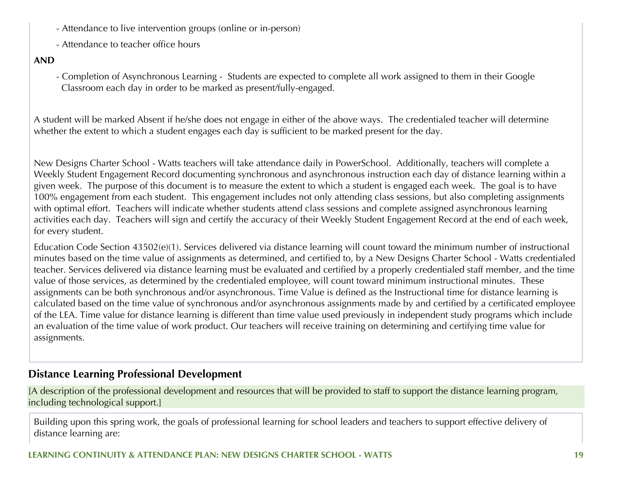- Attendance to live intervention groups (online or in-person)
- Attendance to teacher office hours

#### **AND**

- Completion of Asynchronous Learning - Students are expected to complete all work assigned to them in their Google Classroom each day in order to be marked as present/fully-engaged.

A student will be marked Absent if he/she does not engage in either of the above ways. The credentialed teacher will determine whether the extent to which a student engages each day is sufficient to be marked present for the day.

New Designs Charter School - Watts teachers will take attendance daily in PowerSchool. Additionally, teachers will complete a Weekly Student Engagement Record documenting synchronous and asynchronous instruction each day of distance learning within a given week. The purpose of this document is to measure the extent to which a student is engaged each week. The goal is to have 100% engagement from each student. This engagement includes not only attending class sessions, but also completing assignments with optimal effort. Teachers will indicate whether students attend class sessions and complete assigned asynchronous learning activities each day. Teachers will sign and certify the accuracy of their Weekly Student Engagement Record at the end of each week, for every student.

Education Code Section 43502(e)(1). Services delivered via distance learning will count toward the minimum number of instructional minutes based on the time value of assignments as determined, and certified to, by a New Designs Charter School - Watts credentialed teacher. Services delivered via distance learning must be evaluated and certified by a properly credentialed staff member, and the time value of those services, as determined by the credentialed employee, will count toward minimum instructional minutes. These assignments can be both synchronous and/or asynchronous. Time Value is defined as the Instructional time for distance learning is calculated based on the time value of synchronous and/or asynchronous assignments made by and certified by a certificated employee of the LEA. Time value for distance learning is different than time value used previously in independent study programs which include an evaluation of the time value of work product. Our teachers will receive training on determining and certifying time value for assignments.

### **Distance Learning Professional Development**

[A description of the professional development and resources that will be provided to staff to support the distance learning program, including technological support.]

Building upon this spring work, the goals of professional learning for school leaders and teachers to support effective delivery of distance learning are: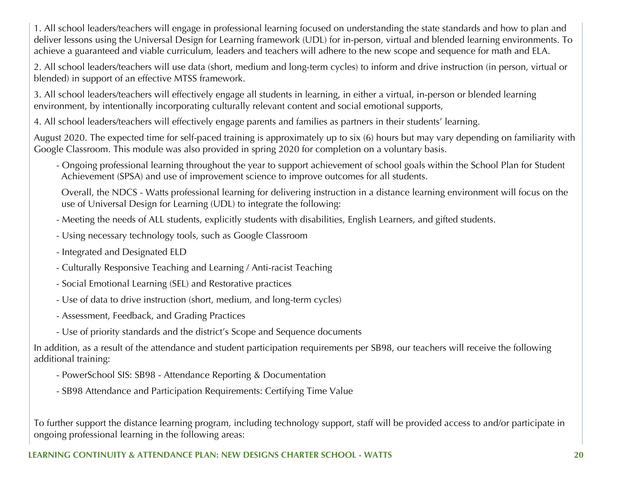1. All school leaders/teachers will engage in professional learning focused on understanding the state standards and how to plan and deliver lessons using the Universal Design for Learning framework (UDL) for in-person, virtual and blended learning environments. To achieve a guaranteed and viable curriculum, leaders and teachers will adhere to the new scope and sequence for math and ELA.

2. All school leaders/teachers will use data (short, medium and long-term cycles) to inform and drive instruction (in person, virtual or blended) in support of an effective MTSS framework.

3. All school leaders/teachers will effectively engage all students in learning, in either a virtual, in-person or blended learning environment, by intentionally incorporating culturally relevant content and social emotional supports,

4. All school leaders/teachers will effectively engage parents and families as partners in their students' learning.

August 2020. The expected time for self-paced training is approximately up to six (6) hours but may vary depending on familiarity with Google Classroom. This module was also provided in spring 2020 for completion on a voluntary basis.

- Ongoing professional learning throughout the year to support achievement of school goals within the School Plan for Student Achievement (SPSA) and use of improvement science to improve outcomes for all students.

 Overall, the NDCS - Watts professional learning for delivering instruction in a distance learning environment will focus on the use of Universal Design for Learning (UDL) to integrate the following:

- Meeting the needs of ALL students, explicitly students with disabilities, English Learners, and gifted students.
- Using necessary technology tools, such as Google Classroom
- Integrated and Designated ELD
- Culturally Responsive Teaching and Learning / Anti-racist Teaching
- Social Emotional Learning (SEL) and Restorative practices
- Use of data to drive instruction (short, medium, and long-term cycles)
- Assessment, Feedback, and Grading Practices
- Use of priority standards and the district's Scope and Sequence documents

In addition, as a result of the attendance and student participation requirements per SB98, our teachers will receive the following additional training:

- PowerSchool SIS: SB98 Attendance Reporting & Documentation
- SB98 Attendance and Participation Requirements: Certifying Time Value

To further support the distance learning program, including technology support, staff will be provided access to and/or participate in ongoing professional learning in the following areas: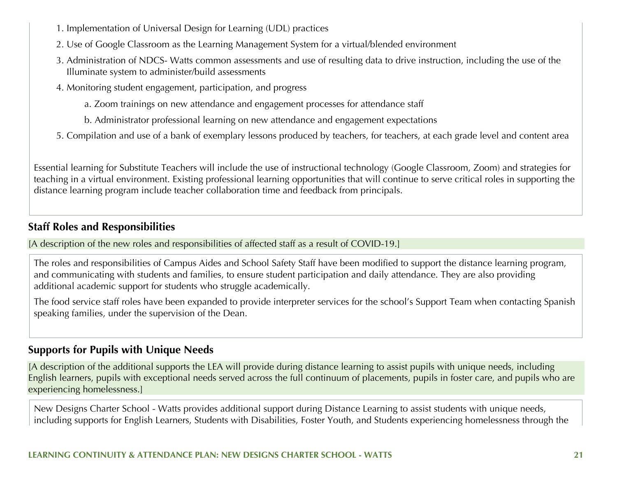- 1. Implementation of Universal Design for Learning (UDL) practices
- 2. Use of Google Classroom as the Learning Management System for a virtual/blended environment
- 3. Administration of NDCS- Watts common assessments and use of resulting data to drive instruction, including the use of the Illuminate system to administer/build assessments
- 4. Monitoring student engagement, participation, and progress
	- a. Zoom trainings on new attendance and engagement processes for attendance staff
	- b. Administrator professional learning on new attendance and engagement expectations
- 5. Compilation and use of a bank of exemplary lessons produced by teachers, for teachers, at each grade level and content area

Essential learning for Substitute Teachers will include the use of instructional technology (Google Classroom, Zoom) and strategies for teaching in a virtual environment. Existing professional learning opportunities that will continue to serve critical roles in supporting the distance learning program include teacher collaboration time and feedback from principals.

### **Staff Roles and Responsibilities**

[A description of the new roles and responsibilities of affected staff as a result of COVID-19.]

The roles and responsibilities of Campus Aides and School Safety Staff have been modified to support the distance learning program, and communicating with students and families, to ensure student participation and daily attendance. They are also providing additional academic support for students who struggle academically.

The food service staff roles have been expanded to provide interpreter services for the school's Support Team when contacting Spanish speaking families, under the supervision of the Dean.

## **Supports for Pupils with Unique Needs**

[A description of the additional supports the LEA will provide during distance learning to assist pupils with unique needs, including English learners, pupils with exceptional needs served across the full continuum of placements, pupils in foster care, and pupils who are experiencing homelessness.]

New Designs Charter School - Watts provides additional support during Distance Learning to assist students with unique needs, including supports for English Learners, Students with Disabilities, Foster Youth, and Students experiencing homelessness through the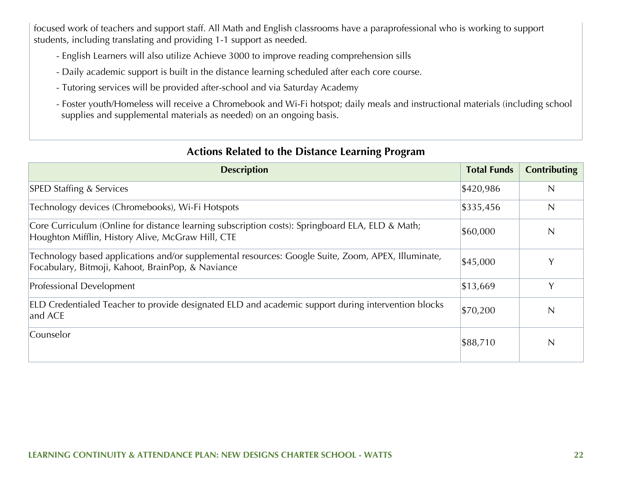focused work of teachers and support staff. All Math and English classrooms have a paraprofessional who is working to support students, including translating and providing 1-1 support as needed.

- English Learners will also utilize Achieve 3000 to improve reading comprehension sills
- Daily academic support is built in the distance learning scheduled after each core course.
- Tutoring services will be provided after-school and via Saturday Academy
- Foster youth/Homeless will receive a Chromebook and Wi-Fi hotspot; daily meals and instructional materials (including school supplies and supplemental materials as needed) on an ongoing basis.

| <b>Description</b>                                                                                                                                      | <b>Total Funds</b> | <b>Contributing</b> |
|---------------------------------------------------------------------------------------------------------------------------------------------------------|--------------------|---------------------|
| <b>SPED Staffing &amp; Services</b>                                                                                                                     | \$420,986          | $\overline{N}$      |
| Technology devices (Chromebooks), Wi-Fi Hotspots                                                                                                        | \$335,456          | $\mathsf{N}$        |
| Core Curriculum (Online for distance learning subscription costs): Springboard ELA, ELD & Math;<br>Houghton Mifflin, History Alive, McGraw Hill, CTE    | \$60,000           | $\mathbb N$         |
| Technology based applications and/or supplemental resources: Google Suite, Zoom, APEX, Illuminate,<br>Focabulary, Bitmoji, Kahoot, BrainPop, & Naviance | \$45,000           | v                   |
| Professional Development                                                                                                                                | \$13,669           | Y                   |
| ELD Credentialed Teacher to provide designated ELD and academic support during intervention blocks<br>and ACE                                           | \$70,200           | N                   |
| Counselor                                                                                                                                               | \$88,710           | N                   |

### **Actions Related to the Distance Learning Program**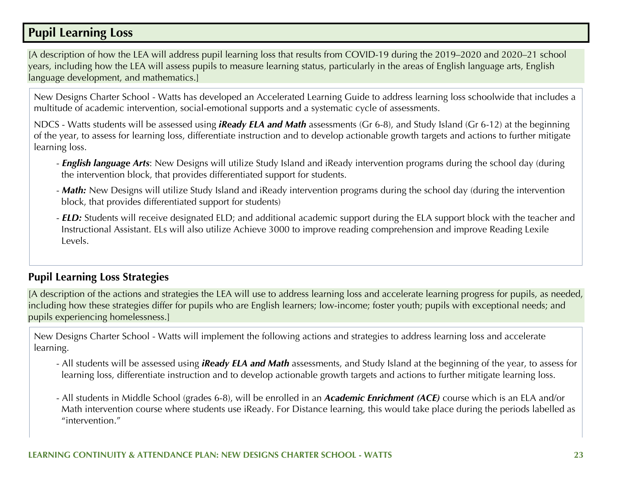## **Pupil Learning Loss**

[A description of how the LEA will address pupil learning loss that results from COVID-19 during the 2019–2020 and 2020–21 school years, including how the LEA will assess pupils to measure learning status, particularly in the areas of English language arts, English language development, and mathematics.]

New Designs Charter School - Watts has developed an Accelerated Learning Guide to address learning loss schoolwide that includes a multitude of academic intervention, social-emotional supports and a systematic cycle of assessments.

NDCS - Watts students will be assessed using *iReady ELA and Math* assessments (Gr 6-8), and Study Island (Gr 6-12) at the beginning of the year, to assess for learning loss, differentiate instruction and to develop actionable growth targets and actions to further mitigate learning loss.

- *English language Arts*: New Designs will utilize Study Island and iReady intervention programs during the school day (during the intervention block, that provides differentiated support for students.
- *Math:* New Designs will utilize Study Island and iReady intervention programs during the school day (during the intervention block, that provides differentiated support for students)
- *ELD:* Students will receive designated ELD; and additional academic support during the ELA support block with the teacher and Instructional Assistant. ELs will also utilize Achieve 3000 to improve reading comprehension and improve Reading Lexile Levels.

### **Pupil Learning Loss Strategies**

[A description of the actions and strategies the LEA will use to address learning loss and accelerate learning progress for pupils, as needed, including how these strategies differ for pupils who are English learners; low-income; foster youth; pupils with exceptional needs; and pupils experiencing homelessness.]

New Designs Charter School - Watts will implement the following actions and strategies to address learning loss and accelerate learning.

- All students will be assessed using *iReady ELA and Math* assessments, and Study Island at the beginning of the year, to assess for learning loss, differentiate instruction and to develop actionable growth targets and actions to further mitigate learning loss.
- All students in Middle School (grades 6-8), will be enrolled in an *Academic Enrichment (ACE)* course which is an ELA and/or Math intervention course where students use iReady. For Distance learning, this would take place during the periods labelled as "intervention."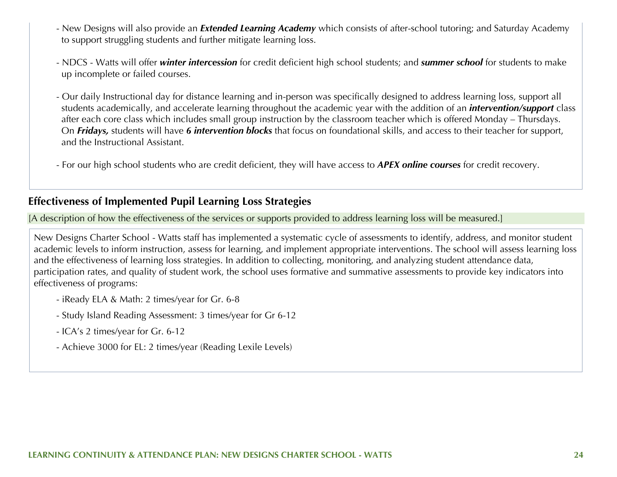- New Designs will also provide an *Extended Learning Academy* which consists of after-school tutoring; and Saturday Academy to support struggling students and further mitigate learning loss.
- NDCS Watts will offer *winter intercession* for credit deficient high school students; and *summer school* for students to make up incomplete or failed courses.
- Our daily Instructional day for distance learning and in-person was specifically designed to address learning loss, support all students academically, and accelerate learning throughout the academic year with the addition of an *intervention/support* class after each core class which includes small group instruction by the classroom teacher which is offered Monday – Thursdays. On *Fridays,* students will have *6 intervention blocks* that focus on foundational skills, and access to their teacher for support, and the Instructional Assistant.
- For our high school students who are credit deficient, they will have access to *APEX online courses* for credit recovery.

#### **Effectiveness of Implemented Pupil Learning Loss Strategies**

[A description of how the effectiveness of the services or supports provided to address learning loss will be measured.]

New Designs Charter School - Watts staff has implemented a systematic cycle of assessments to identify, address, and monitor student academic levels to inform instruction, assess for learning, and implement appropriate interventions. The school will assess learning loss and the effectiveness of learning loss strategies. In addition to collecting, monitoring, and analyzing student attendance data, participation rates, and quality of student work, the school uses formative and summative assessments to provide key indicators into effectiveness of programs:

- iReady ELA & Math: 2 times/year for Gr. 6-8
- Study Island Reading Assessment: 3 times/year for Gr 6-12
- ICA's 2 times/year for Gr. 6-12
- Achieve 3000 for EL: 2 times/year (Reading Lexile Levels)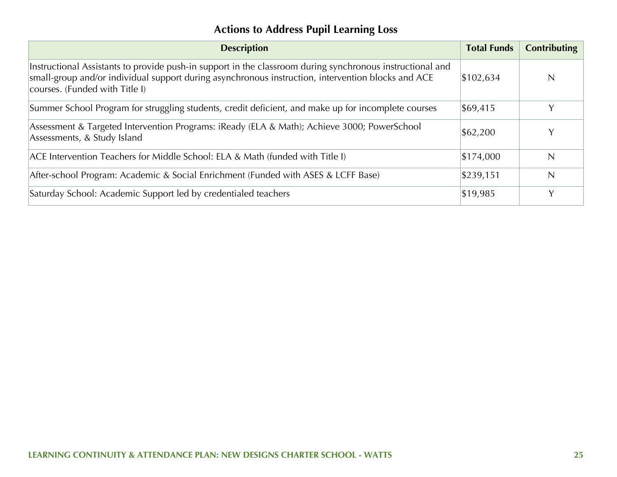## **Actions to Address Pupil Learning Loss**

| <b>Description</b>                                                                                                                                                                                                                                | <b>Total Funds</b> | <b>Contributing</b> |
|---------------------------------------------------------------------------------------------------------------------------------------------------------------------------------------------------------------------------------------------------|--------------------|---------------------|
| Instructional Assistants to provide push-in support in the classroom during synchronous instructional and<br>small-group and/or individual support during asynchronous instruction, intervention blocks and ACE<br>courses. (Funded with Title I) | \$102,634          | $\mathsf{N}$        |
| Summer School Program for struggling students, credit deficient, and make up for incomplete courses                                                                                                                                               | \$69,415           |                     |
| Assessment & Targeted Intervention Programs: iReady (ELA & Math); Achieve 3000; PowerSchool<br>Assessments, & Study Island                                                                                                                        | \$62,200           | Y                   |
| ACE Intervention Teachers for Middle School: ELA & Math (funded with Title I)                                                                                                                                                                     | \$174,000          | $\mathsf{N}$        |
| After-school Program: Academic & Social Enrichment (Funded with ASES & LCFF Base)                                                                                                                                                                 | \$239,151          | N                   |
| Saturday School: Academic Support led by credentialed teachers                                                                                                                                                                                    | \$19,985           | Y                   |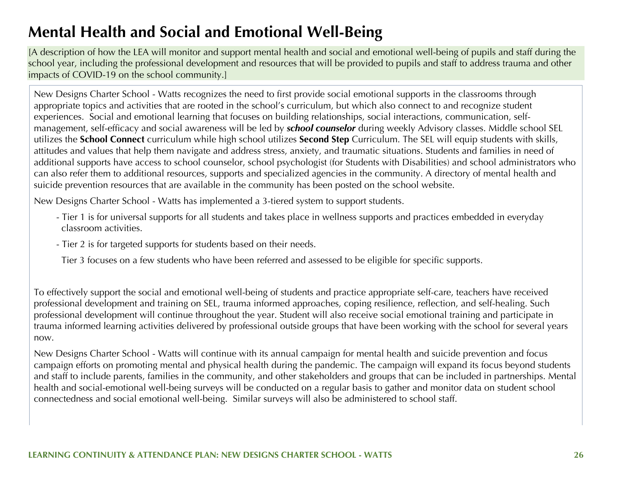## **Mental Health and Social and Emotional Well-Being**

[A description of how the LEA will monitor and support mental health and social and emotional well-being of pupils and staff during the school year, including the professional development and resources that will be provided to pupils and staff to address trauma and other impacts of COVID-19 on the school community.]

New Designs Charter School - Watts recognizes the need to first provide social emotional supports in the classrooms through appropriate topics and activities that are rooted in the school's curriculum, but which also connect to and recognize student experiences. Social and emotional learning that focuses on building relationships, social interactions, communication, selfmanagement, self-efficacy and social awareness will be led by *school counselor* during weekly Advisory classes. Middle school SEL utilizes the **School Connect** curriculum while high school utilizes **Second Step** Curriculum. The SEL will equip students with skills, attitudes and values that help them navigate and address stress, anxiety, and traumatic situations. Students and families in need of additional supports have access to school counselor, school psychologist (for Students with Disabilities) and school administrators who can also refer them to additional resources, supports and specialized agencies in the community. A directory of mental health and suicide prevention resources that are available in the community has been posted on the school website.

New Designs Charter School - Watts has implemented a 3-tiered system to support students.

- Tier 1 is for universal supports for all students and takes place in wellness supports and practices embedded in everyday classroom activities.
- Tier 2 is for targeted supports for students based on their needs.
- Tier 3 focuses on a few students who have been referred and assessed to be eligible for specific supports.

To effectively support the social and emotional well-being of students and practice appropriate self-care, teachers have received professional development and training on SEL, trauma informed approaches, coping resilience, reflection, and self-healing. Such professional development will continue throughout the year. Student will also receive social emotional training and participate in trauma informed learning activities delivered by professional outside groups that have been working with the school for several years now.

New Designs Charter School - Watts will continue with its annual campaign for mental health and suicide prevention and focus campaign efforts on promoting mental and physical health during the pandemic. The campaign will expand its focus beyond students and staff to include parents, families in the community, and other stakeholders and groups that can be included in partnerships. Mental health and social-emotional well-being surveys will be conducted on a regular basis to gather and monitor data on student school connectedness and social emotional well-being. Similar surveys will also be administered to school staff.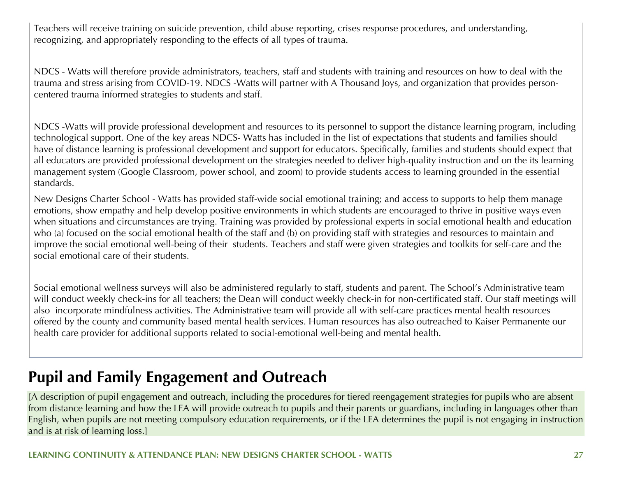Teachers will receive training on suicide prevention, child abuse reporting, crises response procedures, and understanding, recognizing, and appropriately responding to the effects of all types of trauma.

NDCS - Watts will therefore provide administrators, teachers, staff and students with training and resources on how to deal with the trauma and stress arising from COVID-19. NDCS -Watts will partner with A Thousand Joys, and organization that provides personcentered trauma informed strategies to students and staff.

NDCS -Watts will provide professional development and resources to its personnel to support the distance learning program, including technological support. One of the key areas NDCS- Watts has included in the list of expectations that students and families should have of distance learning is professional development and support for educators. Specifically, families and students should expect that all educators are provided professional development on the strategies needed to deliver high-quality instruction and on the its learning management system (Google Classroom, power school, and zoom) to provide students access to learning grounded in the essential standards.

New Designs Charter School - Watts has provided staff-wide social emotional training; and access to supports to help them manage emotions, show empathy and help develop positive environments in which students are encouraged to thrive in positive ways even when situations and circumstances are trying. Training was provided by professional experts in social emotional health and education who (a) focused on the social emotional health of the staff and (b) on providing staff with strategies and resources to maintain and improve the social emotional well-being of their students. Teachers and staff were given strategies and toolkits for self-care and the social emotional care of their students.

Social emotional wellness surveys will also be administered regularly to staff, students and parent. The School's Administrative team will conduct weekly check-ins for all teachers; the Dean will conduct weekly check-in for non-certificated staff. Our staff meetings will also incorporate mindfulness activities. The Administrative team will provide all with self-care practices mental health resources offered by the county and community based mental health services. Human resources has also outreached to Kaiser Permanente our health care provider for additional supports related to social-emotional well-being and mental health.

## **Pupil and Family Engagement and Outreach**

[A description of pupil engagement and outreach, including the procedures for tiered reengagement strategies for pupils who are absent from distance learning and how the LEA will provide outreach to pupils and their parents or guardians, including in languages other than English, when pupils are not meeting compulsory education requirements, or if the LEA determines the pupil is not engaging in instruction and is at risk of learning loss.]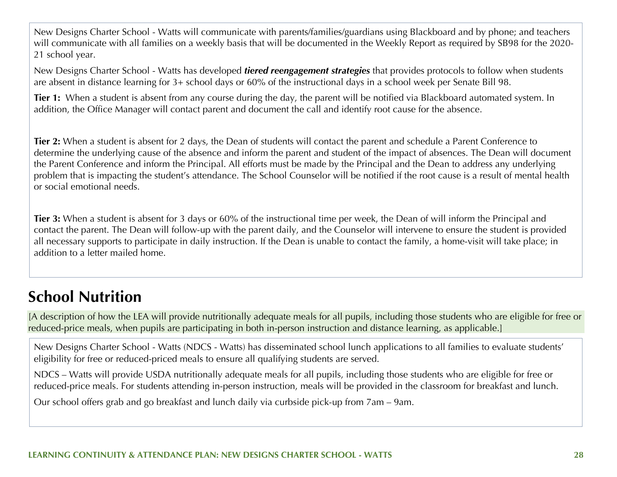New Designs Charter School - Watts will communicate with parents/families/guardians using Blackboard and by phone; and teachers will communicate with all families on a weekly basis that will be documented in the Weekly Report as required by SB98 for the 2020- 21 school year.

New Designs Charter School - Watts has developed *tiered reengagement strategies* that provides protocols to follow when students are absent in distance learning for 3+ school days or 60% of the instructional days in a school week per Senate Bill 98.

**Tier 1:** When a student is absent from any course during the day, the parent will be notified via Blackboard automated system. In addition, the Office Manager will contact parent and document the call and identify root cause for the absence.

**Tier 2:** When a student is absent for 2 days, the Dean of students will contact the parent and schedule a Parent Conference to determine the underlying cause of the absence and inform the parent and student of the impact of absences. The Dean will document the Parent Conference and inform the Principal. All efforts must be made by the Principal and the Dean to address any underlying problem that is impacting the student's attendance. The School Counselor will be notified if the root cause is a result of mental health or social emotional needs.

**Tier 3:** When a student is absent for 3 days or 60% of the instructional time per week, the Dean of will inform the Principal and contact the parent. The Dean will follow-up with the parent daily, and the Counselor will intervene to ensure the student is provided all necessary supports to participate in daily instruction. If the Dean is unable to contact the family, a home-visit will take place; in addition to a letter mailed home.

## **School Nutrition**

[A description of how the LEA will provide nutritionally adequate meals for all pupils, including those students who are eligible for free or reduced-price meals, when pupils are participating in both in-person instruction and distance learning, as applicable.]

New Designs Charter School - Watts (NDCS - Watts) has disseminated school lunch applications to all families to evaluate students' eligibility for free or reduced-priced meals to ensure all qualifying students are served.

NDCS – Watts will provide USDA nutritionally adequate meals for all pupils, including those students who are eligible for free or reduced-price meals. For students attending in-person instruction, meals will be provided in the classroom for breakfast and lunch.

Our school offers grab and go breakfast and lunch daily via curbside pick-up from 7am – 9am.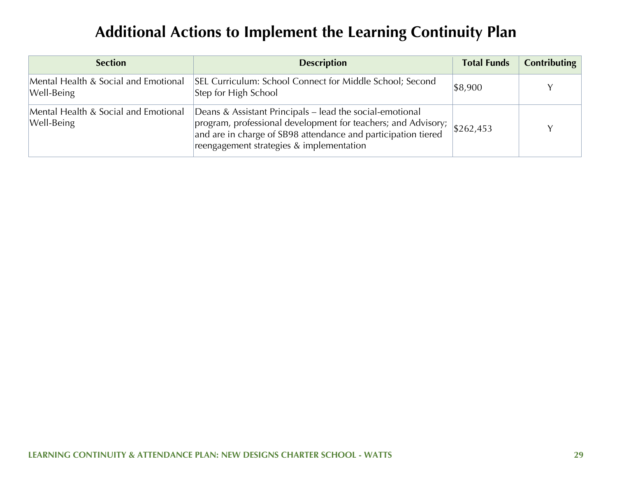## **Additional Actions to Implement the Learning Continuity Plan**

| <b>Section</b>                                     | <b>Description</b>                                                                                                                                                                                                                     | <b>Total Funds</b> | Contributing |
|----------------------------------------------------|----------------------------------------------------------------------------------------------------------------------------------------------------------------------------------------------------------------------------------------|--------------------|--------------|
| Mental Health & Social and Emotional<br>Well-Being | SEL Curriculum: School Connect for Middle School; Second<br>Step for High School                                                                                                                                                       | \$8,900            |              |
| Mental Health & Social and Emotional<br>Well-Being | Deans & Assistant Principals – lead the social-emotional<br>program, professional development for teachers; and Advisory;<br>and are in charge of SB98 attendance and participation tiered<br>reengagement strategies & implementation | \$262,453          |              |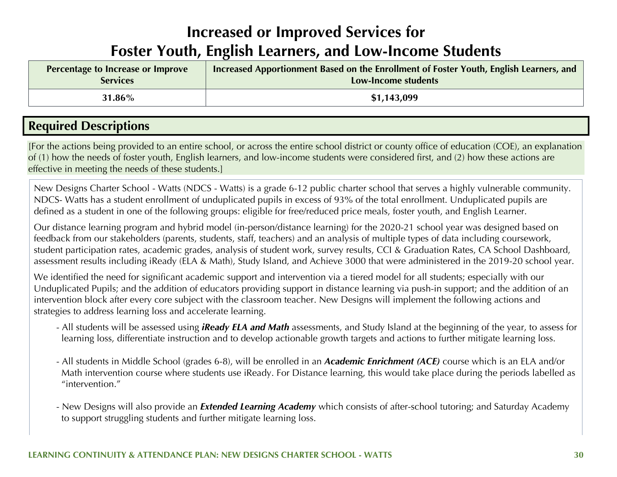## **Increased or Improved Services for Foster Youth, English Learners, and Low-Income Students**

| Percentage to Increase or Improve | Increased Apportionment Based on the Enrollment of Foster Youth, English Learners, and |
|-----------------------------------|----------------------------------------------------------------------------------------|
| <b>Services</b>                   | Low-Income students                                                                    |
| 31.86%                            | \$1,143,099                                                                            |

## **Required Descriptions**

[For the actions being provided to an entire school, or across the entire school district or county office of education (COE), an explanation of (1) how the needs of foster youth, English learners, and low-income students were considered first, and (2) how these actions are effective in meeting the needs of these students.]

New Designs Charter School - Watts (NDCS - Watts) is a grade 6-12 public charter school that serves a highly vulnerable community. NDCS- Watts has a student enrollment of unduplicated pupils in excess of 93% of the total enrollment. Unduplicated pupils are defined as a student in one of the following groups: eligible for free/reduced price meals, foster youth, and English Learner.

Our distance learning program and hybrid model (in-person/distance learning) for the 2020-21 school year was designed based on feedback from our stakeholders (parents, students, staff, teachers) and an analysis of multiple types of data including coursework, student participation rates, academic grades, analysis of student work, survey results, CCI & Graduation Rates, CA School Dashboard, assessment results including iReady (ELA & Math), Study Island, and Achieve 3000 that were administered in the 2019-20 school year.

We identified the need for significant academic support and intervention via a tiered model for all students; especially with our Unduplicated Pupils; and the addition of educators providing support in distance learning via push-in support; and the addition of an intervention block after every core subject with the classroom teacher. New Designs will implement the following actions and strategies to address learning loss and accelerate learning.

- All students will be assessed using *iReady ELA and Math* assessments, and Study Island at the beginning of the year, to assess for learning loss, differentiate instruction and to develop actionable growth targets and actions to further mitigate learning loss.
- All students in Middle School (grades 6-8), will be enrolled in an *Academic Enrichment (ACE)* course which is an ELA and/or Math intervention course where students use iReady. For Distance learning, this would take place during the periods labelled as "intervention."
- New Designs will also provide an *Extended Learning Academy* which consists of after-school tutoring; and Saturday Academy to support struggling students and further mitigate learning loss.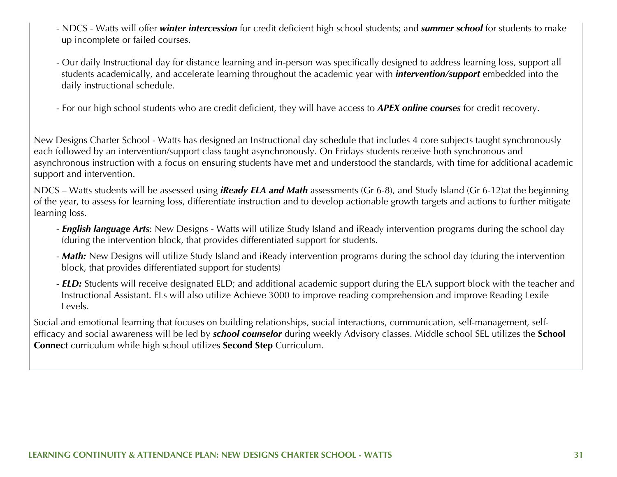- NDCS Watts will offer *winter intercession* for credit deficient high school students; and *summer school* for students to make up incomplete or failed courses.
- Our daily Instructional day for distance learning and in-person was specifically designed to address learning loss, support all students academically, and accelerate learning throughout the academic year with *intervention/support* embedded into the daily instructional schedule.
- For our high school students who are credit deficient, they will have access to *APEX online courses* for credit recovery.

New Designs Charter School - Watts has designed an Instructional day schedule that includes 4 core subjects taught synchronously each followed by an intervention/support class taught asynchronously. On Fridays students receive both synchronous and asynchronous instruction with a focus on ensuring students have met and understood the standards, with time for additional academic support and intervention.

NDCS – Watts students will be assessed using *iReady ELA and Math* assessments (Gr 6-8), and Study Island (Gr 6-12)at the beginning of the year, to assess for learning loss, differentiate instruction and to develop actionable growth targets and actions to further mitigate learning loss.

- *English language Arts*: New Designs Watts will utilize Study Island and iReady intervention programs during the school day (during the intervention block, that provides differentiated support for students.
- *Math:* New Designs will utilize Study Island and iReady intervention programs during the school day (during the intervention block, that provides differentiated support for students)
- *ELD:* Students will receive designated ELD; and additional academic support during the ELA support block with the teacher and Instructional Assistant. ELs will also utilize Achieve 3000 to improve reading comprehension and improve Reading Lexile Levels.

Social and emotional learning that focuses on building relationships, social interactions, communication, self-management, selfefficacy and social awareness will be led by *school counselor* during weekly Advisory classes. Middle school SEL utilizes the **School Connect** curriculum while high school utilizes **Second Step** Curriculum.